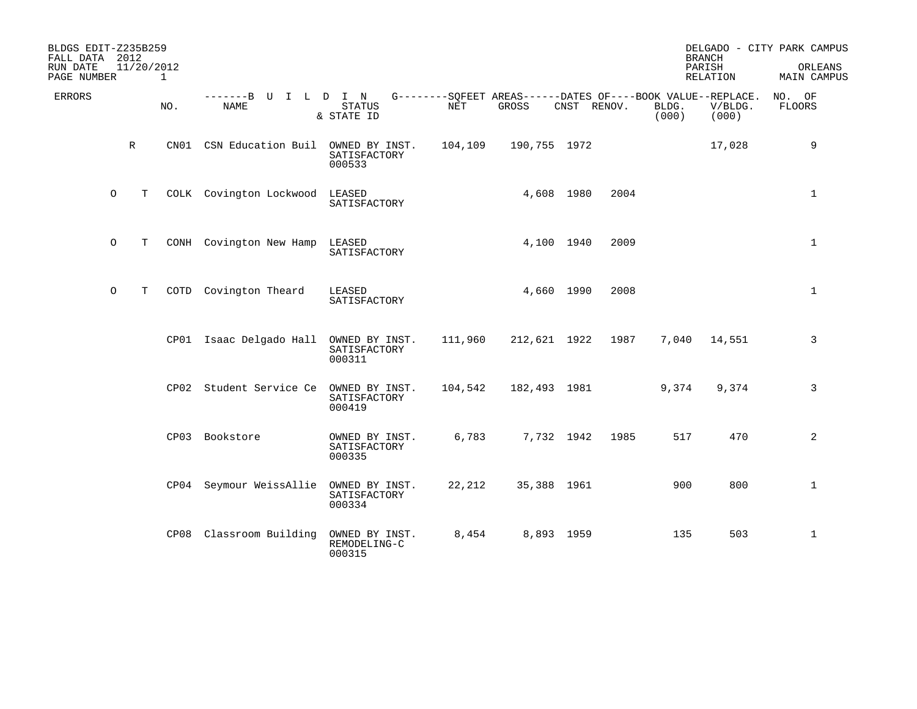| BLDGS EDIT-Z235B259<br>FALL DATA 2012<br>RUN DATE<br>PAGE NUMBER | 11/20/2012  | 1    |                                        |                                          |         |                                                                      |             |                | <b>BRANCH</b><br>PARISH<br>RELATION | DELGADO - CITY PARK CAMPUS<br>ORLEANS<br>MAIN CAMPUS |
|------------------------------------------------------------------|-------------|------|----------------------------------------|------------------------------------------|---------|----------------------------------------------------------------------|-------------|----------------|-------------------------------------|------------------------------------------------------|
| <b>ERRORS</b>                                                    |             | NO.  | -------B U I L D I N<br><b>NAME</b>    | <b>STATUS</b><br>& STATE ID              | NET     | G--------SQFEET AREAS------DATES OF----BOOK VALUE--REPLACE.<br>GROSS | CNST RENOV. | BLDG.<br>(000) | V/BLDG.<br>(000)                    | NO. OF<br>FLOORS                                     |
|                                                                  | $\mathbb R$ | CN01 | CSN Education Buil OWNED BY INST.      | SATISFACTORY<br>000533                   | 104,109 | 190,755 1972                                                         |             |                | 17,028                              | 9                                                    |
| $\circ$                                                          | T           |      | COLK Covington Lockwood LEASED         | SATISFACTORY                             |         | 4,608 1980                                                           | 2004        |                |                                     | $\mathbf 1$                                          |
| $\circ$                                                          | T           |      | CONH Covington New Hamp                | LEASED<br>SATISFACTORY                   |         | 4,100 1940                                                           | 2009        |                |                                     | $\mathbf 1$                                          |
| $\circ$                                                          | T           | COTD | Covington Theard                       | LEASED<br>SATISFACTORY                   |         | 4,660 1990                                                           | 2008        |                |                                     | $\mathbf 1$                                          |
|                                                                  |             |      | CP01 Isaac Delgado Hall OWNED BY INST. | SATISFACTORY<br>000311                   | 111,960 | 212,621 1922                                                         | 1987        | 7,040          | 14,551                              | 3                                                    |
|                                                                  |             | CP02 | Student Service Ce                     | OWNED BY INST.<br>SATISFACTORY<br>000419 | 104,542 | 182,493 1981                                                         |             | 9,374          | 9,374                               | 3                                                    |
|                                                                  |             |      | CP03 Bookstore                         | OWNED BY INST.<br>SATISFACTORY<br>000335 | 6,783   | 7,732 1942                                                           | 1985        | 517            | 470                                 | 2                                                    |
|                                                                  |             |      | CP04 Seymour WeissAllie                | OWNED BY INST.<br>SATISFACTORY<br>000334 | 22,212  | 35,388 1961                                                          |             | 900            | 800                                 | $\mathbf{1}$                                         |
|                                                                  |             |      | CP08 Classroom Building                | OWNED BY INST.<br>REMODELING-C<br>000315 | 8,454   | 8,893 1959                                                           |             | 135            | 503                                 | $\mathbf 1$                                          |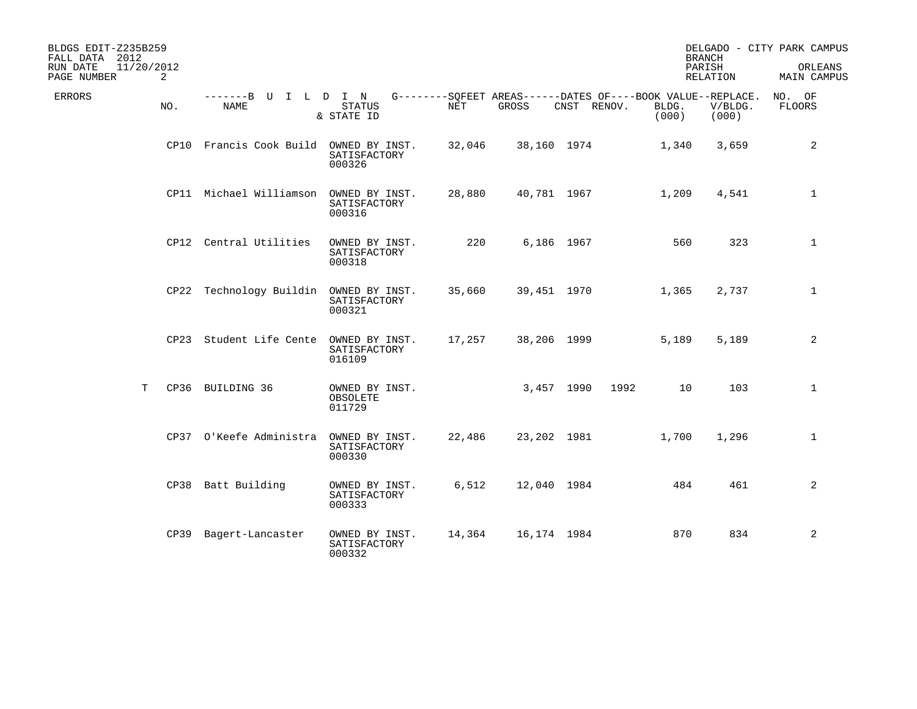| BLDGS EDIT-Z235B259<br>FALL DATA 2012<br>RUN DATE | 11/20/2012 |                                        |                                          |        |             |             |                | <b>BRANCH</b><br>PARISH                                                         | DELGADO - CITY PARK CAMPUS<br>ORLEANS |
|---------------------------------------------------|------------|----------------------------------------|------------------------------------------|--------|-------------|-------------|----------------|---------------------------------------------------------------------------------|---------------------------------------|
| PAGE NUMBER                                       | 2          |                                        |                                          |        |             |             |                | RELATION                                                                        | MAIN CAMPUS                           |
| <b>ERRORS</b>                                     | NO.        | -------B U I L D I N<br><b>NAME</b>    | <b>STATUS</b><br>& STATE ID              | NET    | GROSS       | CNST RENOV. | BLDG.<br>(000) | G--------SOFEET AREAS------DATES OF----BOOK VALUE--REPLACE.<br>V/BLDG.<br>(000) | NO. OF<br>FLOORS                      |
|                                                   |            | CP10 Francis Cook Build OWNED BY INST. | SATISFACTORY<br>000326                   | 32,046 | 38,160 1974 |             | 1,340          | 3,659                                                                           | 2                                     |
|                                                   |            | CP11 Michael Williamson OWNED BY INST. | SATISFACTORY<br>000316                   | 28,880 | 40,781 1967 |             | 1,209          | 4,541                                                                           | $\mathbf{1}$                          |
|                                                   |            | CP12 Central Utilities                 | OWNED BY INST.<br>SATISFACTORY<br>000318 | 220    |             | 6,186 1967  |                | 560<br>323                                                                      | $\mathbf{1}$                          |
|                                                   |            | CP22 Technology Buildin OWNED BY INST. | SATISFACTORY<br>000321                   | 35,660 | 39,451 1970 |             | 1,365          | 2,737                                                                           | $\mathbf{1}$                          |
|                                                   |            | CP23 Student Life Cente OWNED BY INST. | SATISFACTORY<br>016109                   | 17,257 | 38,206 1999 |             | 5,189          | 5,189                                                                           | 2                                     |
|                                                   | T          | CP36 BUILDING 36                       | OWNED BY INST.<br>OBSOLETE<br>011729     |        | 3,457 1990  |             | 1992           | 10<br>103                                                                       | $\mathbf{1}$                          |
|                                                   |            | CP37 O'Keefe Administra                | OWNED BY INST.<br>SATISFACTORY<br>000330 | 22,486 | 23,202 1981 |             | 1,700          | 1,296                                                                           | $\mathbf{1}$                          |
|                                                   |            | CP38 Batt Building                     | OWNED BY INST.<br>SATISFACTORY<br>000333 | 6,512  | 12,040 1984 |             |                | 484<br>461                                                                      | 2                                     |
|                                                   |            | CP39 Bagert-Lancaster                  | OWNED BY INST.<br>SATISFACTORY<br>000332 | 14,364 | 16,174 1984 |             |                | 870<br>834                                                                      | 2                                     |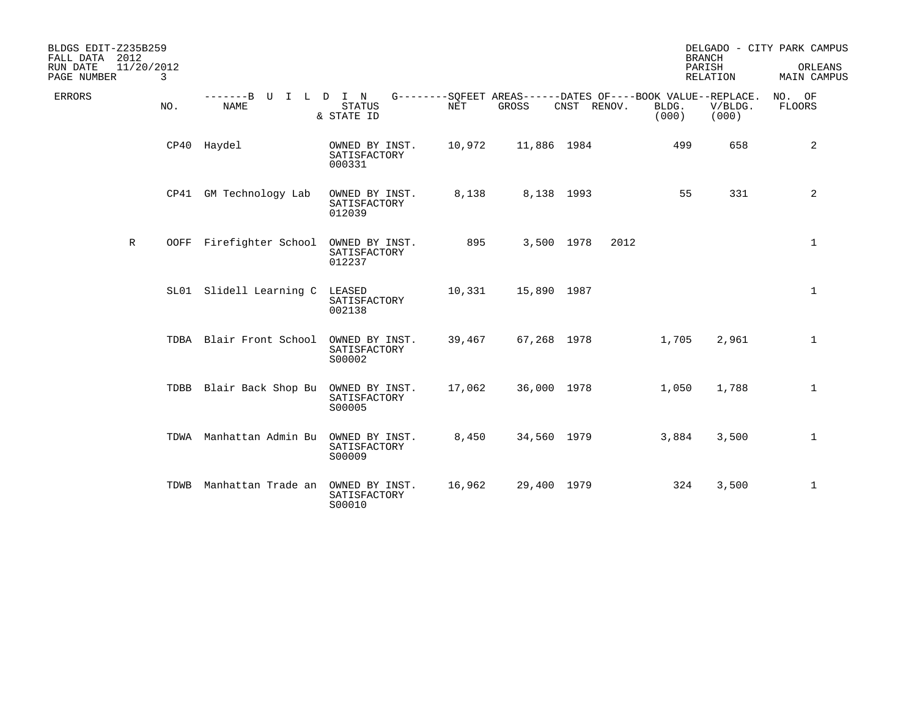| BLDGS EDIT-Z235B259<br>FALL DATA 2012<br>RUN DATE<br>PAGE NUMBER | 11/20/2012   | 3   |                                        |                                                                                                      |        |             |             |      |                | <b>BRANCH</b><br>PARISH<br>RELATION | DELGADO - CITY PARK CAMPUS<br>ORLEANS<br>MAIN CAMPUS |
|------------------------------------------------------------------|--------------|-----|----------------------------------------|------------------------------------------------------------------------------------------------------|--------|-------------|-------------|------|----------------|-------------------------------------|------------------------------------------------------|
| ERRORS                                                           |              | NO. | -------B U<br><b>NAME</b>              | I L D I N G--------SQFEET AREAS------DATES OF----BOOK VALUE--REPLACE.<br><b>STATUS</b><br>& STATE ID | NET    | GROSS       | CNST RENOV. |      | BLDG.<br>(000) | V/BLDG.<br>(000)                    | NO. OF<br>FLOORS                                     |
|                                                                  |              |     | CP40 Haydel                            | OWNED BY INST.<br>SATISFACTORY<br>000331                                                             | 10,972 | 11,886 1984 |             |      | 499            | 658                                 | 2                                                    |
|                                                                  |              |     | CP41 GM Technology Lab                 | OWNED BY INST.<br>SATISFACTORY<br>012039                                                             | 8,138  |             | 8,138 1993  |      | 55             | 331                                 | 2                                                    |
|                                                                  | $\mathbb{R}$ |     | OOFF Firefighter School OWNED BY INST. | SATISFACTORY<br>012237                                                                               | 895    |             | 3,500 1978  | 2012 |                |                                     | $\mathbf 1$                                          |
|                                                                  |              |     | SL01 Slidell Learning C                | LEASED<br>SATISFACTORY<br>002138                                                                     | 10,331 | 15,890 1987 |             |      |                |                                     | $\mathbf 1$                                          |
|                                                                  |              |     | TDBA Blair Front School                | OWNED BY INST.<br>SATISFACTORY<br>S00002                                                             | 39,467 | 67,268 1978 |             |      | 1,705          | 2,961                               | $\mathbf 1$                                          |
|                                                                  |              |     | TDBB Blair Back Shop Bu                | OWNED BY INST.<br>SATISFACTORY<br>S00005                                                             | 17,062 | 36,000 1978 |             |      | 1,050          | 1,788                               | $\mathbf{1}$                                         |
|                                                                  |              |     | TDWA Manhattan Admin Bu                | OWNED BY INST.<br>SATISFACTORY<br>S00009                                                             | 8,450  | 34,560 1979 |             |      | 3,884          | 3,500                               | $\mathbf 1$                                          |
|                                                                  |              |     | TDWB Manhattan Trade an OWNED BY INST. | SATISFACTORY<br>S00010                                                                               | 16,962 | 29,400 1979 |             |      | 324            | 3,500                               | $\mathbf 1$                                          |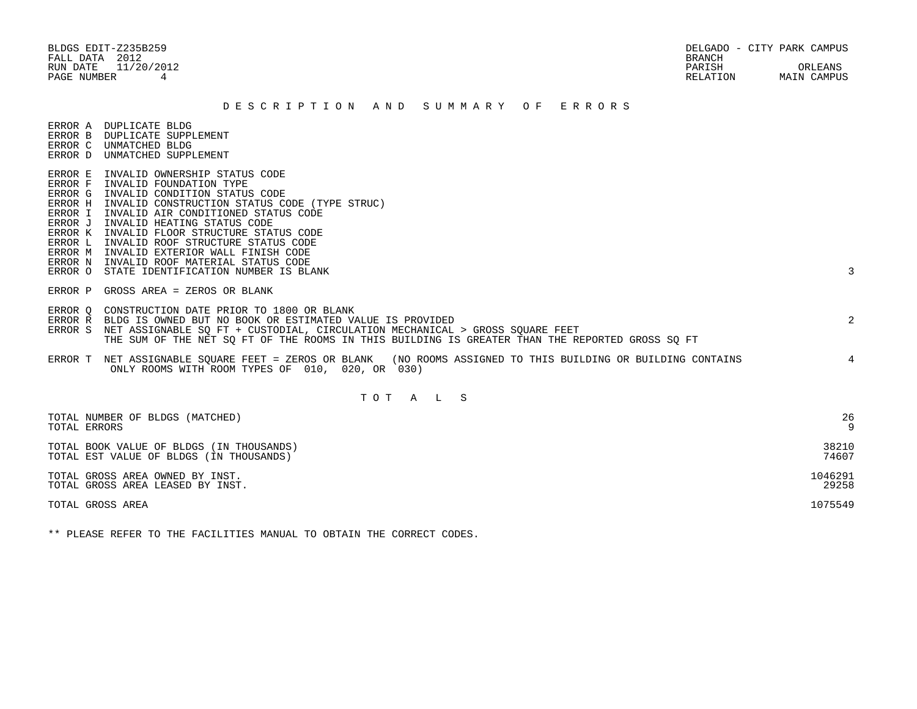FALL DATA 2012 BRANCH

## D E S C R I P T I O N A N D S U M M A R Y O F E R R O R S

ERROR A DUPLICATE BLDG

- ERROR B DUPLICATE SUPPLEMENT
- ERROR C UNMATCHED BLDG ERROR D UNMATCHED SUPPLEMENT

 ERROR K INVALID FLOOR STRUCTURE STATUS CODE ERROR L INVALID ROOF STRUCTURE STATUS CODE ERROR M INVALID EXTERIOR WALL FINISH CODE

ERROR I INVALID AIR CONDITIONED STATUS CODE

ERROR N INVALID ROOF MATERIAL STATUS CODE

 ERROR E INVALID OWNERSHIP STATUS CODE ERROR F INVALID FOUNDATION TYPE ERROR G INVALID CONDITION STATUS CODE

ERROR J INVALID HEATING STATUS CODE

ERROR P GROSS AREA = ZEROS OR BLANK

ERROR O STATE IDENTIFICATION NUMBER IS BLANK 3

ERROR H INVALID CONSTRUCTION STATUS CODE (TYPE STRUC)

- 
- ERROR Q CONSTRUCTION DATE PRIOR TO 1800 OR BLANK ERROR R BLDG IS OWNED BUT NO BOOK OR ESTIMATED VALUE IS PROVIDED 2 ERROR S NET ASSIGNABLE SQ FT + CUSTODIAL, CIRCULATION MECHANICAL > GROSS SQUARE FEET THE SUM OF THE NET SQ FT OF THE ROOMS IN THIS BUILDING IS GREATER THAN THE REPORTED GROSS SQ FT ERROR T NET ASSIGNABLE SQUARE FEET = ZEROS OR BLANK (NO ROOMS ASSIGNED TO THIS BUILDING OR BUILDING CONTAINS 4 ONLY ROOMS WITH ROOM TYPES OF 010, 020, OR 030)

## T O T A L S

| TOTAL NUMBER OF BLDGS (MATCHED)<br>TOTAL ERRORS | 26      |
|-------------------------------------------------|---------|
| TOTAL BOOK VALUE OF BLDGS (IN THOUSANDS)        | 38210   |
| TOTAL EST VALUE OF BLDGS (IN THOUSANDS)         | 74607   |
| TOTAL GROSS AREA OWNED BY INST.                 | 1046291 |
| TOTAL GROSS AREA LEASED BY INST.                | 29258   |
| TOTAL GROSS AREA                                | 1075549 |

\*\* PLEASE REFER TO THE FACILITIES MANUAL TO OBTAIN THE CORRECT CODES.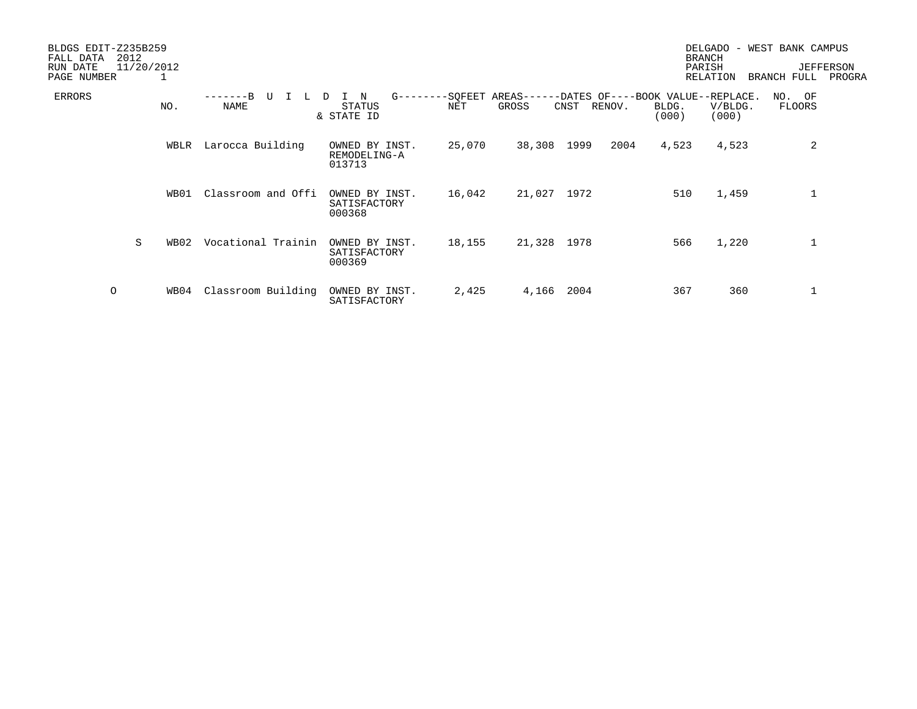| BLDGS EDIT-Z235B259<br>2012<br>FALL DATA |      |                    |                                            |        |             |                                                                       |                | DELGADO<br>$\overline{\phantom{a}}$<br><b>BRANCH</b> | WEST BANK CAMPUS |                            |
|------------------------------------------|------|--------------------|--------------------------------------------|--------|-------------|-----------------------------------------------------------------------|----------------|------------------------------------------------------|------------------|----------------------------|
| 11/20/2012<br>RUN DATE<br>PAGE NUMBER    |      |                    |                                            |        |             |                                                                       |                | PARISH<br>RELATION                                   | BRANCH FULL      | <b>JEFFERSON</b><br>PROGRA |
| <b>ERRORS</b>                            | NO.  | NAME               | N<br>$G - - - - -$<br>STATUS<br>& STATE ID | NET    | GROSS       | -SQFEET AREAS------DATES OF----BOOK VALUE--REPLACE.<br>CNST<br>RENOV. | BLDG.<br>(000) | V/BLDG.<br>(000)                                     | NO. OF<br>FLOORS |                            |
|                                          | WBLR | Larocca Building   | OWNED BY INST.<br>REMODELING-A<br>013713   | 25,070 | 38,308      | 1999<br>2004                                                          | 4,523          | 4,523                                                | 2                |                            |
|                                          | WB01 | Classroom and Offi | OWNED BY INST.<br>SATISFACTORY<br>000368   | 16,042 | 21,027 1972 |                                                                       | 510            | 1,459                                                |                  |                            |
| S                                        | WB02 | Vocational Trainin | OWNED BY INST.<br>SATISFACTORY<br>000369   | 18,155 | 21,328 1978 |                                                                       | 566            | 1,220                                                |                  |                            |
| $\circ$                                  | WB04 | Classroom Building | OWNED BY INST.<br>SATISFACTORY             | 2,425  | 4,166       | 2004                                                                  | 367            | 360                                                  |                  |                            |